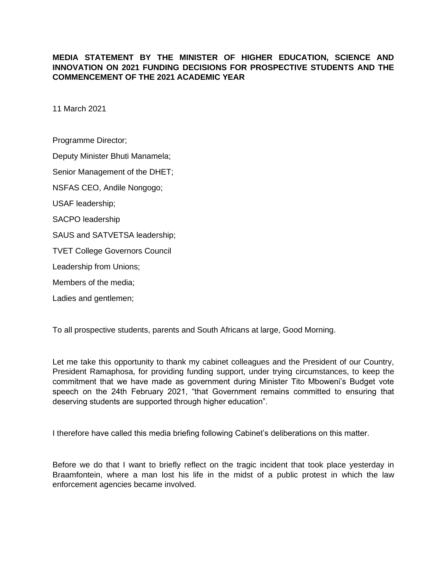## **MEDIA STATEMENT BY THE MINISTER OF HIGHER EDUCATION, SCIENCE AND INNOVATION ON 2021 FUNDING DECISIONS FOR PROSPECTIVE STUDENTS AND THE COMMENCEMENT OF THE 2021 ACADEMIC YEAR**

11 March 2021

Programme Director; Deputy Minister Bhuti Manamela; Senior Management of the DHET; NSFAS CEO, Andile Nongogo; USAF leadership; SACPO leadership SAUS and SATVETSA leadership; TVET College Governors Council Leadership from Unions; Members of the media;

Ladies and gentlemen;

To all prospective students, parents and South Africans at large, Good Morning.

Let me take this opportunity to thank my cabinet colleagues and the President of our Country, President Ramaphosa, for providing funding support, under trying circumstances, to keep the commitment that we have made as government during Minister Tito Mboweni's Budget vote speech on the 24th February 2021, "that Government remains committed to ensuring that deserving students are supported through higher education".

I therefore have called this media briefing following Cabinet's deliberations on this matter.

Before we do that I want to briefly reflect on the tragic incident that took place yesterday in Braamfontein, where a man lost his life in the midst of a public protest in which the law enforcement agencies became involved.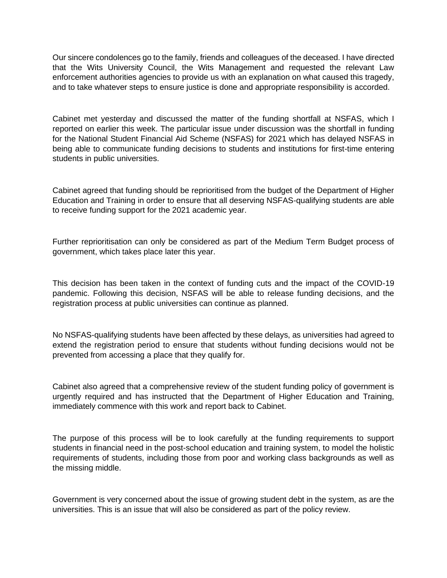Our sincere condolences go to the family, friends and colleagues of the deceased. I have directed that the Wits University Council, the Wits Management and requested the relevant Law enforcement authorities agencies to provide us with an explanation on what caused this tragedy, and to take whatever steps to ensure justice is done and appropriate responsibility is accorded.

Cabinet met yesterday and discussed the matter of the funding shortfall at NSFAS, which I reported on earlier this week. The particular issue under discussion was the shortfall in funding for the National Student Financial Aid Scheme (NSFAS) for 2021 which has delayed NSFAS in being able to communicate funding decisions to students and institutions for first-time entering students in public universities.

Cabinet agreed that funding should be reprioritised from the budget of the Department of Higher Education and Training in order to ensure that all deserving NSFAS-qualifying students are able to receive funding support for the 2021 academic year.

Further reprioritisation can only be considered as part of the Medium Term Budget process of government, which takes place later this year.

This decision has been taken in the context of funding cuts and the impact of the COVID-19 pandemic. Following this decision, NSFAS will be able to release funding decisions, and the registration process at public universities can continue as planned.

No NSFAS-qualifying students have been affected by these delays, as universities had agreed to extend the registration period to ensure that students without funding decisions would not be prevented from accessing a place that they qualify for.

Cabinet also agreed that a comprehensive review of the student funding policy of government is urgently required and has instructed that the Department of Higher Education and Training, immediately commence with this work and report back to Cabinet.

The purpose of this process will be to look carefully at the funding requirements to support students in financial need in the post-school education and training system, to model the holistic requirements of students, including those from poor and working class backgrounds as well as the missing middle.

Government is very concerned about the issue of growing student debt in the system, as are the universities. This is an issue that will also be considered as part of the policy review.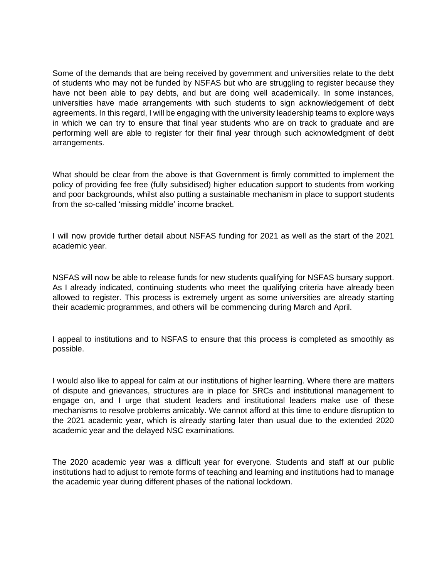Some of the demands that are being received by government and universities relate to the debt of students who may not be funded by NSFAS but who are struggling to register because they have not been able to pay debts, and but are doing well academically. In some instances, universities have made arrangements with such students to sign acknowledgement of debt agreements. In this regard, I will be engaging with the university leadership teams to explore ways in which we can try to ensure that final year students who are on track to graduate and are performing well are able to register for their final year through such acknowledgment of debt arrangements.

What should be clear from the above is that Government is firmly committed to implement the policy of providing fee free (fully subsidised) higher education support to students from working and poor backgrounds, whilst also putting a sustainable mechanism in place to support students from the so-called 'missing middle' income bracket.

I will now provide further detail about NSFAS funding for 2021 as well as the start of the 2021 academic year.

NSFAS will now be able to release funds for new students qualifying for NSFAS bursary support. As I already indicated, continuing students who meet the qualifying criteria have already been allowed to register. This process is extremely urgent as some universities are already starting their academic programmes, and others will be commencing during March and April.

I appeal to institutions and to NSFAS to ensure that this process is completed as smoothly as possible.

I would also like to appeal for calm at our institutions of higher learning. Where there are matters of dispute and grievances, structures are in place for SRCs and institutional management to engage on, and I urge that student leaders and institutional leaders make use of these mechanisms to resolve problems amicably. We cannot afford at this time to endure disruption to the 2021 academic year, which is already starting later than usual due to the extended 2020 academic year and the delayed NSC examinations.

The 2020 academic year was a difficult year for everyone. Students and staff at our public institutions had to adjust to remote forms of teaching and learning and institutions had to manage the academic year during different phases of the national lockdown.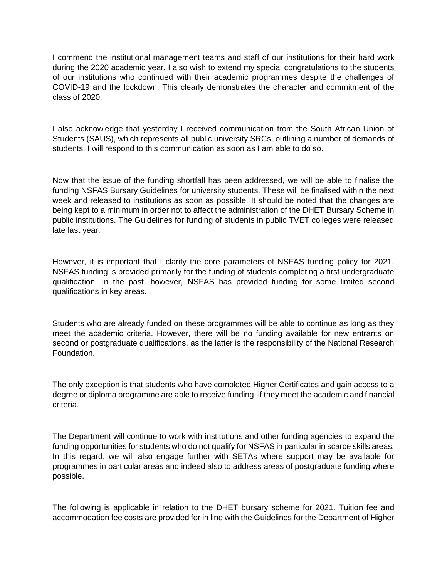I commend the institutional management teams and staff of our institutions for their hard work during the 2020 academic year. I also wish to extend my special congratulations to the students of our institutions who continued with their academic programmes despite the challenges of COVID-19 and the lockdown. This clearly demonstrates the character and commitment of the class of 2020.

I also acknowledge that yesterday I received communication from the South African Union of Students (SAUS), which represents all public university SRCs, outlining a number of demands of students. I will respond to this communication as soon as I am able to do so.

Now that the issue of the funding shortfall has been addressed, we will be able to finalise the funding NSFAS Bursary Guidelines for university students. These will be finalised within the next week and released to institutions as soon as possible. It should be noted that the changes are being kept to a minimum in order not to affect the administration of the DHET Bursary Scheme in public institutions. The Guidelines for funding of students in public TVET colleges were released late last year.

However, it is important that I clarify the core parameters of NSFAS funding policy for 2021. NSFAS funding is provided primarily for the funding of students completing a first undergraduate qualification. In the past, however, NSFAS has provided funding for some limited second qualifications in key areas.

Students who are already funded on these programmes will be able to continue as long as they meet the academic criteria. However, there will be no funding available for new entrants on second or postgraduate qualifications, as the latter is the responsibility of the National Research Foundation.

The only exception is that students who have completed Higher Certificates and gain access to a degree or diploma programme are able to receive funding, if they meet the academic and financial criteria.

The Department will continue to work with institutions and other funding agencies to expand the funding opportunities for students who do not qualify for NSFAS in particular in scarce skills areas. In this regard, we will also engage further with SETAs where support may be available for programmes in particular areas and indeed also to address areas of postgraduate funding where possible.

The following is applicable in relation to the DHET bursary scheme for 2021. Tuition fee and accommodation fee costs are provided for in line with the Guidelines for the Department of Higher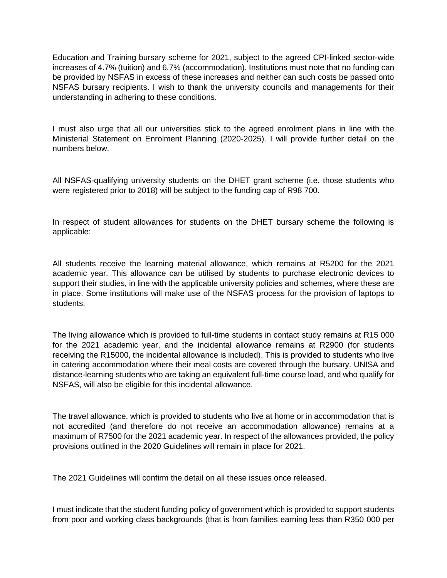Education and Training bursary scheme for 2021, subject to the agreed CPI-linked sector-wide increases of 4.7% (tuition) and 6.7% (accommodation). Institutions must note that no funding can be provided by NSFAS in excess of these increases and neither can such costs be passed onto NSFAS bursary recipients. I wish to thank the university councils and managements for their understanding in adhering to these conditions.

I must also urge that all our universities stick to the agreed enrolment plans in line with the Ministerial Statement on Enrolment Planning (2020-2025). I will provide further detail on the numbers below.

All NSFAS-qualifying university students on the DHET grant scheme (i.e. those students who were registered prior to 2018) will be subject to the funding cap of R98 700.

In respect of student allowances for students on the DHET bursary scheme the following is applicable:

All students receive the learning material allowance, which remains at R5200 for the 2021 academic year. This allowance can be utilised by students to purchase electronic devices to support their studies, in line with the applicable university policies and schemes, where these are in place. Some institutions will make use of the NSFAS process for the provision of laptops to students.

The living allowance which is provided to full-time students in contact study remains at R15 000 for the 2021 academic year, and the incidental allowance remains at R2900 (for students receiving the R15000, the incidental allowance is included). This is provided to students who live in catering accommodation where their meal costs are covered through the bursary. UNISA and distance-learning students who are taking an equivalent full-time course load, and who qualify for NSFAS, will also be eligible for this incidental allowance.

The travel allowance, which is provided to students who live at home or in accommodation that is not accredited (and therefore do not receive an accommodation allowance) remains at a maximum of R7500 for the 2021 academic year. In respect of the allowances provided, the policy provisions outlined in the 2020 Guidelines will remain in place for 2021.

The 2021 Guidelines will confirm the detail on all these issues once released.

I must indicate that the student funding policy of government which is provided to support students from poor and working class backgrounds (that is from families earning less than R350 000 per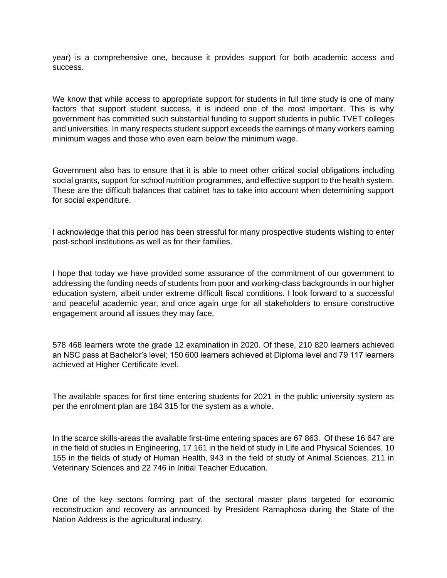year) is a comprehensive one, because it provides support for both academic access and success.

We know that while access to appropriate support for students in full time study is one of many factors that support student success, it is indeed one of the most important. This is why government has committed such substantial funding to support students in public TVET colleges and universities. In many respects student support exceeds the earnings of many workers earning minimum wages and those who even earn below the minimum wage.

Government also has to ensure that it is able to meet other critical social obligations including social grants, support for school nutrition programmes, and effective support to the health system. These are the difficult balances that cabinet has to take into account when determining support for social expenditure.

I acknowledge that this period has been stressful for many prospective students wishing to enter post-school institutions as well as for their families.

I hope that today we have provided some assurance of the commitment of our government to addressing the funding needs of students from poor and working-class backgrounds in our higher education system, albeit under extreme difficult fiscal conditions. I look forward to a successful and peaceful academic year, and once again urge for all stakeholders to ensure constructive engagement around all issues they may face.

578 468 learners wrote the grade 12 examination in 2020. Of these, 210 820 learners achieved an NSC pass at Bachelor's level; 150 600 learners achieved at Diploma level and 79 117 learners achieved at Higher Certificate level.

The available spaces for first time entering students for 2021 in the public university system as per the enrolment plan are 184 315 for the system as a whole.

In the scarce skills-areas the available first-time entering spaces are 67 863. Of these 16 647 are in the field of studies in Engineering, 17 161 in the field of study in Life and Physical Sciences, 10 155 in the fields of study of Human Health, 943 in the field of study of Animal Sciences, 211 in Veterinary Sciences and 22 746 in Initial Teacher Education.

One of the key sectors forming part of the sectoral master plans targeted for economic reconstruction and recovery as announced by President Ramaphosa during the State of the Nation Address is the agricultural industry.